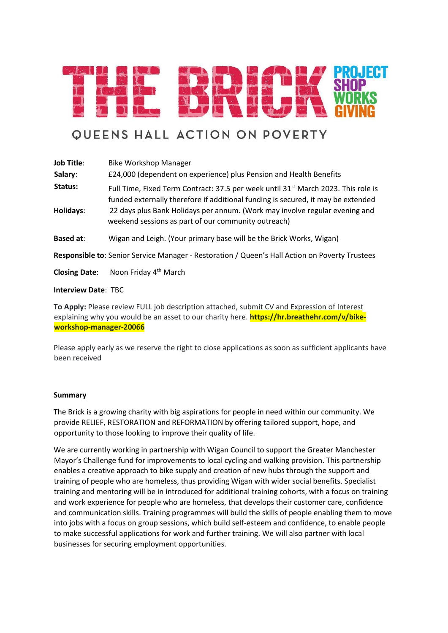

# **QUEENS HALL ACTION ON POVERTY**

| <b>Job Title:</b>                                                                              | <b>Bike Workshop Manager</b>                                                                                                                                                                                                                                                                                            |  |  |  |
|------------------------------------------------------------------------------------------------|-------------------------------------------------------------------------------------------------------------------------------------------------------------------------------------------------------------------------------------------------------------------------------------------------------------------------|--|--|--|
| Salary:                                                                                        | £24,000 (dependent on experience) plus Pension and Health Benefits                                                                                                                                                                                                                                                      |  |  |  |
| Status:<br>Holidays:                                                                           | Full Time, Fixed Term Contract: 37.5 per week until 31 <sup>st</sup> March 2023. This role is<br>funded externally therefore if additional funding is secured, it may be extended<br>22 days plus Bank Holidays per annum. (Work may involve regular evening and<br>weekend sessions as part of our community outreach) |  |  |  |
| <b>Based at:</b>                                                                               | Wigan and Leigh. (Your primary base will be the Brick Works, Wigan)                                                                                                                                                                                                                                                     |  |  |  |
| Responsible to: Senior Service Manager - Restoration / Queen's Hall Action on Poverty Trustees |                                                                                                                                                                                                                                                                                                                         |  |  |  |
| <b>Closing Date:</b>                                                                           | Noon Friday 4 <sup>th</sup> March                                                                                                                                                                                                                                                                                       |  |  |  |

#### **Interview Date**: TBC

**To Apply:** Please review FULL job description attached, submit CV and Expression of Interest explaining why you would be an asset to our charity here. **https://hr.breathehr.com/v/bikeworkshop-manager-20066**

Please apply early as we reserve the right to close applications as soon as sufficient applicants have been received

#### **Summary**

The Brick is a growing charity with big aspirations for people in need within our community. We provide RELIEF, RESTORATION and REFORMATION by offering tailored support, hope, and opportunity to those looking to improve their quality of life.

We are currently working in partnership with Wigan Council to support the Greater Manchester Mayor's Challenge fund for improvements to local cycling and walking provision. This partnership enables a creative approach to bike supply and creation of new hubs through the support and training of people who are homeless, thus providing Wigan with wider social benefits. Specialist training and mentoring will be in introduced for additional training cohorts, with a focus on training and work experience for people who are homeless, that develops their customer care, confidence and communication skills. Training programmes will build the skills of people enabling them to move into jobs with a focus on group sessions, which build self-esteem and confidence, to enable people to make successful applications for work and further training. We will also partner with local businesses for securing employment opportunities.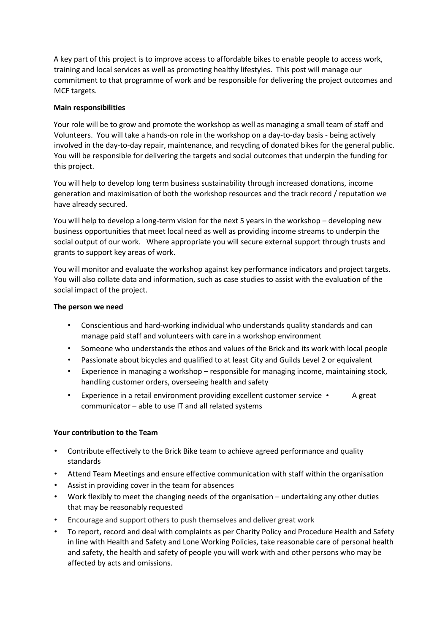A key part of this project is to improve access to affordable bikes to enable people to access work, training and local services as well as promoting healthy lifestyles. This post will manage our commitment to that programme of work and be responsible for delivering the project outcomes and MCF targets.

#### **Main responsibilities**

Your role will be to grow and promote the workshop as well as managing a small team of staff and Volunteers. You will take a hands-on role in the workshop on a day-to-day basis - being actively involved in the day-to-day repair, maintenance, and recycling of donated bikes for the general public. You will be responsible for delivering the targets and social outcomes that underpin the funding for this project.

You will help to develop long term business sustainability through increased donations, income generation and maximisation of both the workshop resources and the track record / reputation we have already secured.

You will help to develop a long-term vision for the next 5 years in the workshop – developing new business opportunities that meet local need as well as providing income streams to underpin the social output of our work. Where appropriate you will secure external support through trusts and grants to support key areas of work.

You will monitor and evaluate the workshop against key performance indicators and project targets. You will also collate data and information, such as case studies to assist with the evaluation of the social impact of the project.

#### **The person we need**

- Conscientious and hard-working individual who understands quality standards and can manage paid staff and volunteers with care in a workshop environment
- Someone who understands the ethos and values of the Brick and its work with local people
- Passionate about bicycles and qualified to at least City and Guilds Level 2 or equivalent
- Experience in managing a workshop responsible for managing income, maintaining stock, handling customer orders, overseeing health and safety
- Experience in a retail environment providing excellent customer service A great communicator – able to use IT and all related systems

## **Your contribution to the Team**

- Contribute effectively to the Brick Bike team to achieve agreed performance and quality standards
- Attend Team Meetings and ensure effective communication with staff within the organisation
- Assist in providing cover in the team for absences
- Work flexibly to meet the changing needs of the organisation undertaking any other duties that may be reasonably requested
- Encourage and support others to push themselves and deliver great work
- To report, record and deal with complaints as per Charity Policy and Procedure Health and Safety in line with Health and Safety and Lone Working Policies, take reasonable care of personal health and safety, the health and safety of people you will work with and other persons who may be affected by acts and omissions.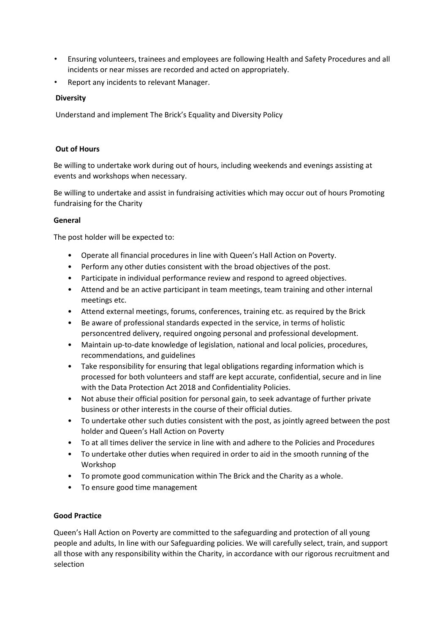- Ensuring volunteers, trainees and employees are following Health and Safety Procedures and all incidents or near misses are recorded and acted on appropriately.
- Report any incidents to relevant Manager.

# **Diversity**

Understand and implement The Brick's Equality and Diversity Policy

## **Out of Hours**

Be willing to undertake work during out of hours, including weekends and evenings assisting at events and workshops when necessary.

Be willing to undertake and assist in fundraising activities which may occur out of hours Promoting fundraising for the Charity

## **General**

The post holder will be expected to:

- Operate all financial procedures in line with Queen's Hall Action on Poverty.
- Perform any other duties consistent with the broad objectives of the post.
- Participate in individual performance review and respond to agreed objectives.
- Attend and be an active participant in team meetings, team training and other internal meetings etc.
- Attend external meetings, forums, conferences, training etc. as required by the Brick
- Be aware of professional standards expected in the service, in terms of holistic personcentred delivery, required ongoing personal and professional development.
- Maintain up-to-date knowledge of legislation, national and local policies, procedures, recommendations, and guidelines
- Take responsibility for ensuring that legal obligations regarding information which is processed for both volunteers and staff are kept accurate, confidential, secure and in line with the Data Protection Act 2018 and Confidentiality Policies.
- Not abuse their official position for personal gain, to seek advantage of further private business or other interests in the course of their official duties.
- To undertake other such duties consistent with the post, as jointly agreed between the post holder and Queen's Hall Action on Poverty
- To at all times deliver the service in line with and adhere to the Policies and Procedures
- To undertake other duties when required in order to aid in the smooth running of the Workshop
- To promote good communication within The Brick and the Charity as a whole.
- To ensure good time management

## **Good Practice**

Queen's Hall Action on Poverty are committed to the safeguarding and protection of all young people and adults, In line with our Safeguarding policies. We will carefully select, train, and support all those with any responsibility within the Charity, in accordance with our rigorous recruitment and selection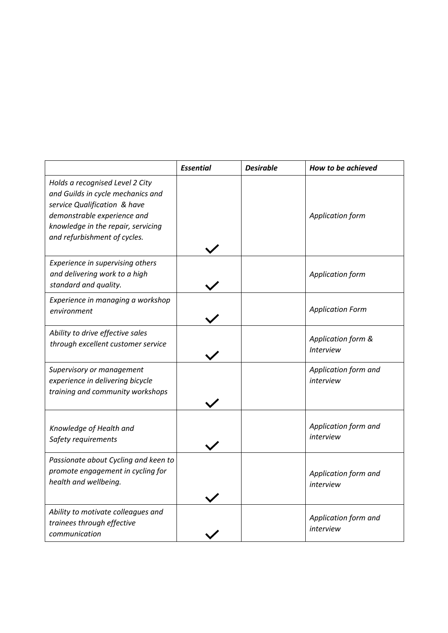|                                                                                                                                                                                                           | <b>Essential</b> | <b>Desirable</b> | How to be achieved                     |
|-----------------------------------------------------------------------------------------------------------------------------------------------------------------------------------------------------------|------------------|------------------|----------------------------------------|
| Holds a recognised Level 2 City<br>and Guilds in cycle mechanics and<br>service Qualification & have<br>demonstrable experience and<br>knowledge in the repair, servicing<br>and refurbishment of cycles. |                  |                  | Application form                       |
| Experience in supervising others<br>and delivering work to a high<br>standard and quality.                                                                                                                |                  |                  | <b>Application form</b>                |
| Experience in managing a workshop<br>environment                                                                                                                                                          |                  |                  | <b>Application Form</b>                |
| Ability to drive effective sales<br>through excellent customer service                                                                                                                                    |                  |                  | Application form &<br><b>Interview</b> |
| Supervisory or management<br>experience in delivering bicycle<br>training and community workshops                                                                                                         |                  |                  | Application form and<br>interview      |
| Knowledge of Health and<br>Safety requirements                                                                                                                                                            |                  |                  | Application form and<br>interview      |
| Passionate about Cycling and keen to<br>promote engagement in cycling for<br>health and wellbeing.                                                                                                        |                  |                  | Application form and<br>interview      |
| Ability to motivate colleagues and<br>trainees through effective<br>communication                                                                                                                         |                  |                  | Application form and<br>interview      |